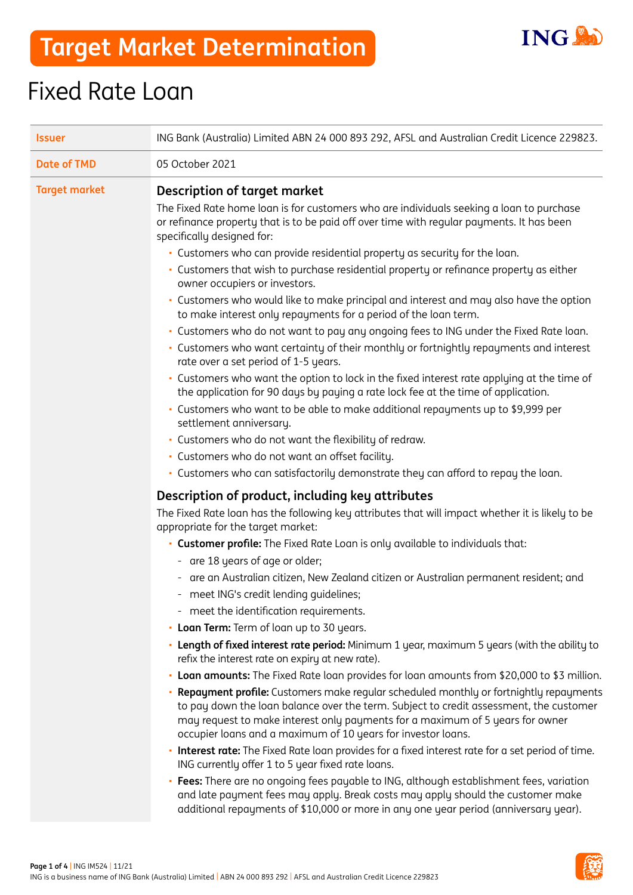

# **Target Market Determination**

# Fixed Rate Loan

| <b>Issuer</b>        | ING Bank (Australia) Limited ABN 24 000 893 292, AFSL and Australian Credit Licence 229823.                                                                                                                                                                                                                                                                                                                                     |  |
|----------------------|---------------------------------------------------------------------------------------------------------------------------------------------------------------------------------------------------------------------------------------------------------------------------------------------------------------------------------------------------------------------------------------------------------------------------------|--|
| <b>Date of TMD</b>   | 05 October 2021                                                                                                                                                                                                                                                                                                                                                                                                                 |  |
| <b>Target market</b> | <b>Description of target market</b><br>The Fixed Rate home loan is for customers who are individuals seeking a loan to purchase<br>or refinance property that is to be paid off over time with regular payments. It has been<br>specifically designed for:                                                                                                                                                                      |  |
|                      | . Customers who can provide residential property as security for the loan.<br>· Customers that wish to purchase residential property or refinance property as either<br>owner occupiers or investors.<br>· Customers who would like to make principal and interest and may also have the option                                                                                                                                 |  |
|                      | to make interest only repayments for a period of the loan term.<br>- Customers who do not want to pay any ongoing fees to ING under the Fixed Rate loan.<br>• Customers who want certainty of their monthly or fortnightly repayments and interest<br>rate over a set period of 1-5 years.                                                                                                                                      |  |
|                      | - Customers who want the option to lock in the fixed interest rate applying at the time of<br>the application for 90 days by paying a rate lock fee at the time of application.<br>· Customers who want to be able to make additional repayments up to \$9,999 per<br>settlement anniversary.                                                                                                                                   |  |
|                      | · Customers who do not want the flexibility of redraw.<br>· Customers who do not want an offset facility.<br>. Customers who can satisfactorily demonstrate they can afford to repay the loan.                                                                                                                                                                                                                                  |  |
|                      | Description of product, including key attributes<br>The Fixed Rate loan has the following key attributes that will impact whether it is likely to be<br>appropriate for the target market:                                                                                                                                                                                                                                      |  |
|                      | • Customer profile: The Fixed Rate Loan is only available to individuals that:<br>- are 18 years of age or older;<br>are an Australian citizen, New Zealand citizen or Australian permanent resident; and<br>-                                                                                                                                                                                                                  |  |
|                      | - meet ING's credit lending quidelines;<br>- meet the identification requirements.<br>• Loan Term: Term of loan up to 30 years.                                                                                                                                                                                                                                                                                                 |  |
|                      | • Length of fixed interest rate period: Minimum 1 year, maximum 5 years (with the ability to<br>refix the interest rate on expiry at new rate).                                                                                                                                                                                                                                                                                 |  |
|                      | • Loan amounts: The Fixed Rate loan provides for loan amounts from \$20,000 to \$3 million.<br>Repayment profile: Customers make regular scheduled monthly or fortnightly repayments<br>to pay down the loan balance over the term. Subject to credit assessment, the customer<br>may request to make interest only payments for a maximum of 5 years for owner<br>occupier loans and a maximum of 10 years for investor loans. |  |
|                      | . Interest rate: The Fixed Rate loan provides for a fixed interest rate for a set period of time.<br>ING currently offer 1 to 5 year fixed rate loans.<br>Fees: There are no ongoing fees payable to ING, although establishment fees, variation<br>and late payment fees may apply. Break costs may apply should the customer make<br>additional repayments of \$10,000 or more in any one year period (anniversary year).     |  |

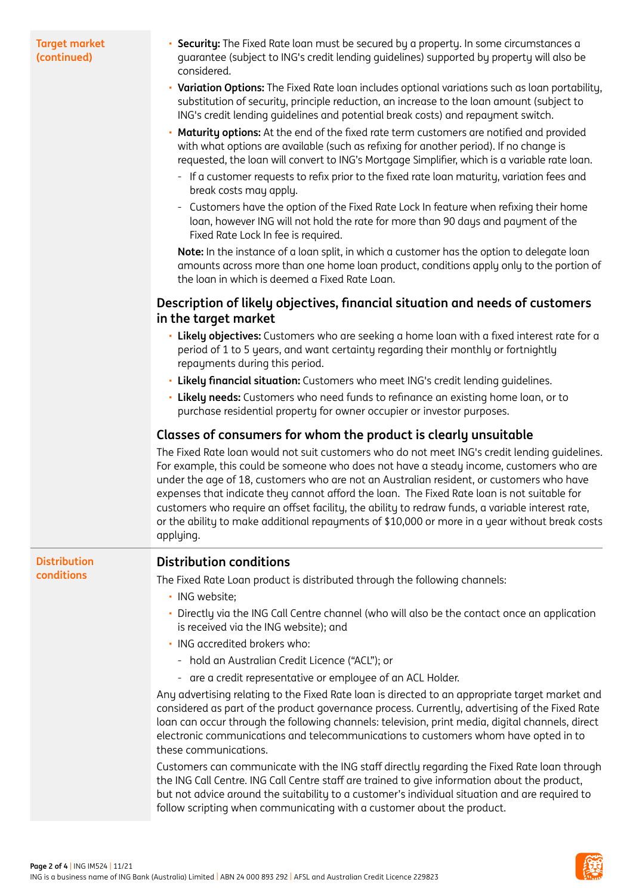#### **Target market (continued)**

- **Security:** The Fixed Rate loan must be secured by a property. In some circumstances a guarantee (subject to ING's credit lending guidelines) supported by property will also be considered.
- **Variation Options:** The Fixed Rate loan includes optional variations such as loan portability, substitution of security, principle reduction, an increase to the loan amount (subject to ING's credit lending guidelines and potential break costs) and repayment switch.
- **Maturity options:** At the end of the fixed rate term customers are notified and provided with what options are available (such as refixing for another period). If no change is requested, the loan will convert to ING's Mortgage Simplifier, which is a variable rate loan.
	- If a customer requests to refix prior to the fixed rate loan maturity, variation fees and break costs may apply.
	- Customers have the option of the Fixed Rate Lock In feature when refixing their home loan, however ING will not hold the rate for more than 90 days and payment of the Fixed Rate Lock In fee is required.

**Note:** In the instance of a loan split, in which a customer has the option to delegate loan amounts across more than one home loan product, conditions apply only to the portion of the loan in which is deemed a Fixed Rate Loan.

## **Description of likely objectives, financial situation and needs of customers in the target market**

- **Likely objectives:** Customers who are seeking a home loan with a fixed interest rate for a period of 1 to 5 years, and want certainty regarding their monthly or fortnightly repayments during this period.
- **Likely financial situation:** Customers who meet ING's credit lending guidelines.
- **Likely needs:** Customers who need funds to refinance an existing home loan, or to purchase residential property for owner occupier or investor purposes.

# **Classes of consumers for whom the product is clearly unsuitable**

The Fixed Rate loan would not suit customers who do not meet ING's credit lending guidelines. For example, this could be someone who does not have a steady income, customers who are under the age of 18, customers who are not an Australian resident, or customers who have expenses that indicate they cannot afford the loan. The Fixed Rate loan is not suitable for customers who require an offset facility, the ability to redraw funds, a variable interest rate, or the ability to make additional repayments of \$10,000 or more in a year without break costs appluing.

#### **Distribution conditions**

### **Distribution conditions**

The Fixed Rate Loan product is distributed through the following channels:

- ING website;
- Directly via the ING Call Centre channel (who will also be the contact once an application is received via the ING website); and
- ING accredited brokers who:
	- hold an Australian Credit Licence ("ACL"); or
	- are a credit representative or employee of an ACL Holder.

Any advertising relating to the Fixed Rate loan is directed to an appropriate target market and considered as part of the product governance process. Currently, advertising of the Fixed Rate loan can occur through the following channels: television, print media, digital channels, direct electronic communications and telecommunications to customers whom have opted in to these communications.

Customers can communicate with the ING staff directly regarding the Fixed Rate loan through the ING Call Centre. ING Call Centre staff are trained to give information about the product, but not advice around the suitability to a customer's individual situation and are required to follow scripting when communicating with a customer about the product.

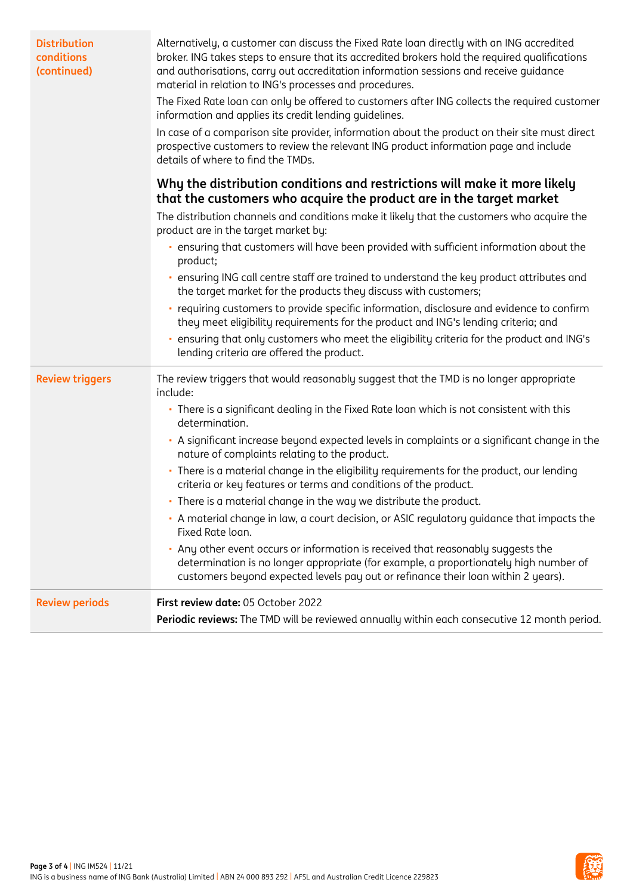| <b>Distribution</b><br>conditions<br>(continued) | Alternatively, a customer can discuss the Fixed Rate loan directly with an ING accredited<br>broker. ING takes steps to ensure that its accredited brokers hold the required qualifications<br>and authorisations, carry out accreditation information sessions and receive quidance<br>material in relation to ING's processes and procedures.<br>The Fixed Rate loan can only be offered to customers after ING collects the required customer<br>information and applies its credit lending quidelines.<br>In case of a comparison site provider, information about the product on their site must direct<br>prospective customers to review the relevant ING product information page and include<br>details of where to find the TMDs. |  |  |
|--------------------------------------------------|---------------------------------------------------------------------------------------------------------------------------------------------------------------------------------------------------------------------------------------------------------------------------------------------------------------------------------------------------------------------------------------------------------------------------------------------------------------------------------------------------------------------------------------------------------------------------------------------------------------------------------------------------------------------------------------------------------------------------------------------|--|--|
|                                                  | Why the distribution conditions and restrictions will make it more likely<br>that the customers who acquire the product are in the target market                                                                                                                                                                                                                                                                                                                                                                                                                                                                                                                                                                                            |  |  |
|                                                  | The distribution channels and conditions make it likely that the customers who acquire the<br>product are in the target market by:                                                                                                                                                                                                                                                                                                                                                                                                                                                                                                                                                                                                          |  |  |
|                                                  | · ensuring that customers will have been provided with sufficient information about the<br>product;                                                                                                                                                                                                                                                                                                                                                                                                                                                                                                                                                                                                                                         |  |  |
|                                                  | ensuring ING call centre staff are trained to understand the key product attributes and<br>the target market for the products they discuss with customers;                                                                                                                                                                                                                                                                                                                                                                                                                                                                                                                                                                                  |  |  |
|                                                  | · requiring customers to provide specific information, disclosure and evidence to confirm<br>they meet eligibility requirements for the product and ING's lending criteria; and                                                                                                                                                                                                                                                                                                                                                                                                                                                                                                                                                             |  |  |
|                                                  | ensuring that only customers who meet the eligibility criteria for the product and ING's<br>lending criteria are offered the product.                                                                                                                                                                                                                                                                                                                                                                                                                                                                                                                                                                                                       |  |  |
| <b>Review triggers</b>                           | The review triggers that would reasonably suggest that the TMD is no longer appropriate<br>include:                                                                                                                                                                                                                                                                                                                                                                                                                                                                                                                                                                                                                                         |  |  |
|                                                  | • There is a significant dealing in the Fixed Rate loan which is not consistent with this<br>determination.                                                                                                                                                                                                                                                                                                                                                                                                                                                                                                                                                                                                                                 |  |  |
|                                                  | A significant increase beyond expected levels in complaints or a significant change in the<br>nature of complaints relating to the product.                                                                                                                                                                                                                                                                                                                                                                                                                                                                                                                                                                                                 |  |  |
|                                                  | • There is a material change in the eligibility requirements for the product, our lending<br>criteria or key features or terms and conditions of the product.                                                                                                                                                                                                                                                                                                                                                                                                                                                                                                                                                                               |  |  |
|                                                  | • There is a material change in the way we distribute the product.                                                                                                                                                                                                                                                                                                                                                                                                                                                                                                                                                                                                                                                                          |  |  |
|                                                  | • A material change in law, a court decision, or ASIC regulatory guidance that impacts the<br>Fixed Rate loan.                                                                                                                                                                                                                                                                                                                                                                                                                                                                                                                                                                                                                              |  |  |
|                                                  | • Any other event occurs or information is received that reasonably suggests the<br>determination is no longer appropriate (for example, a proportionately high number of<br>customers beyond expected levels pay out or refinance their loan within 2 years).                                                                                                                                                                                                                                                                                                                                                                                                                                                                              |  |  |
| <b>Review periods</b>                            | First review date: 05 October 2022                                                                                                                                                                                                                                                                                                                                                                                                                                                                                                                                                                                                                                                                                                          |  |  |
|                                                  | Periodic reviews: The TMD will be reviewed annually within each consecutive 12 month period.                                                                                                                                                                                                                                                                                                                                                                                                                                                                                                                                                                                                                                                |  |  |